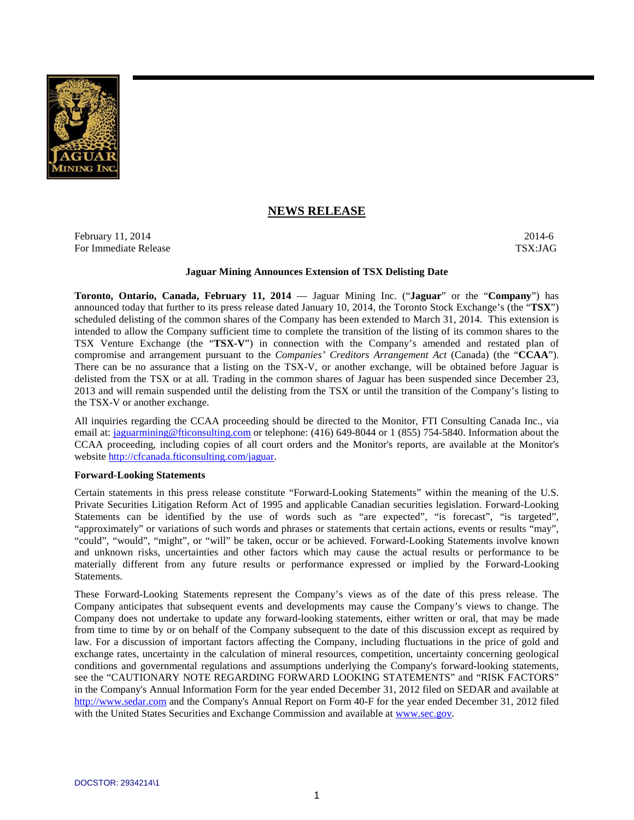

# **NEWS RELEASE**

February 11, 2014  $\sim$  2014-6 For Immediate Release TSX:JAG

#### **Jaguar Mining Announces Extension of TSX Delisting Date**

**Toronto, Ontario, Canada, February 11, 2014** — Jaguar Mining Inc. ("**Jaguar**" or the "**Company**") has announced today that further to its press release dated January 10, 2014, the Toronto Stock Exchange's (the "**TSX**") scheduled delisting of the common shares of the Company has been extended to March 31, 2014. This extension is intended to allow the Company sufficient time to complete the transition of the listing of its common shares to the TSX Venture Exchange (the "**TSX-V**") in connection with the Company's amended and restated plan of compromise and arrangement pursuant to the *Companies' Creditors Arrangement Act* (Canada) (the "**CCAA**"). There can be no assurance that a listing on the TSX-V, or another exchange, will be obtained before Jaguar is delisted from the TSX or at all. Trading in the common shares of Jaguar has been suspended since December 23, 2013 and will remain suspended until the delisting from the TSX or until the transition of the Company's listing to the TSX-V or another exchange.

All inquiries regarding the CCAA proceeding should be directed to the Monitor, FTI Consulting Canada Inc., via email at: jaguarmining@fticonsulting.com or telephone: (416) 649-8044 or 1 (855) 754-5840. Information about the CCAA proceeding, including copies of all court orders and the Monitor's reports, are available at the Monitor's website http://cfcanada.fticonsulting.com/jaguar.

#### **Forward-Looking Statements**

Certain statements in this press release constitute "Forward-Looking Statements" within the meaning of the U.S. Private Securities Litigation Reform Act of 1995 and applicable Canadian securities legislation. Forward-Looking Statements can be identified by the use of words such as "are expected", "is forecast", "is targeted", "approximately" or variations of such words and phrases or statements that certain actions, events or results "may", "could", "would", "might", or "will" be taken, occur or be achieved. Forward-Looking Statements involve known and unknown risks, uncertainties and other factors which may cause the actual results or performance to be materially different from any future results or performance expressed or implied by the Forward-Looking Statements.

These Forward-Looking Statements represent the Company's views as of the date of this press release. The Company anticipates that subsequent events and developments may cause the Company's views to change. The Company does not undertake to update any forward-looking statements, either written or oral, that may be made from time to time by or on behalf of the Company subsequent to the date of this discussion except as required by law. For a discussion of important factors affecting the Company, including fluctuations in the price of gold and exchange rates, uncertainty in the calculation of mineral resources, competition, uncertainty concerning geological conditions and governmental regulations and assumptions underlying the Company's forward-looking statements, see the "CAUTIONARY NOTE REGARDING FORWARD LOOKING STATEMENTS" and "RISK FACTORS" in the Company's Annual Information Form for the year ended December 31, 2012 filed on SEDAR and available at http://www.sedar.com and the Company's Annual Report on Form 40-F for the year ended December 31, 2012 filed with the United States Securities and Exchange Commission and available at www.sec.gov.